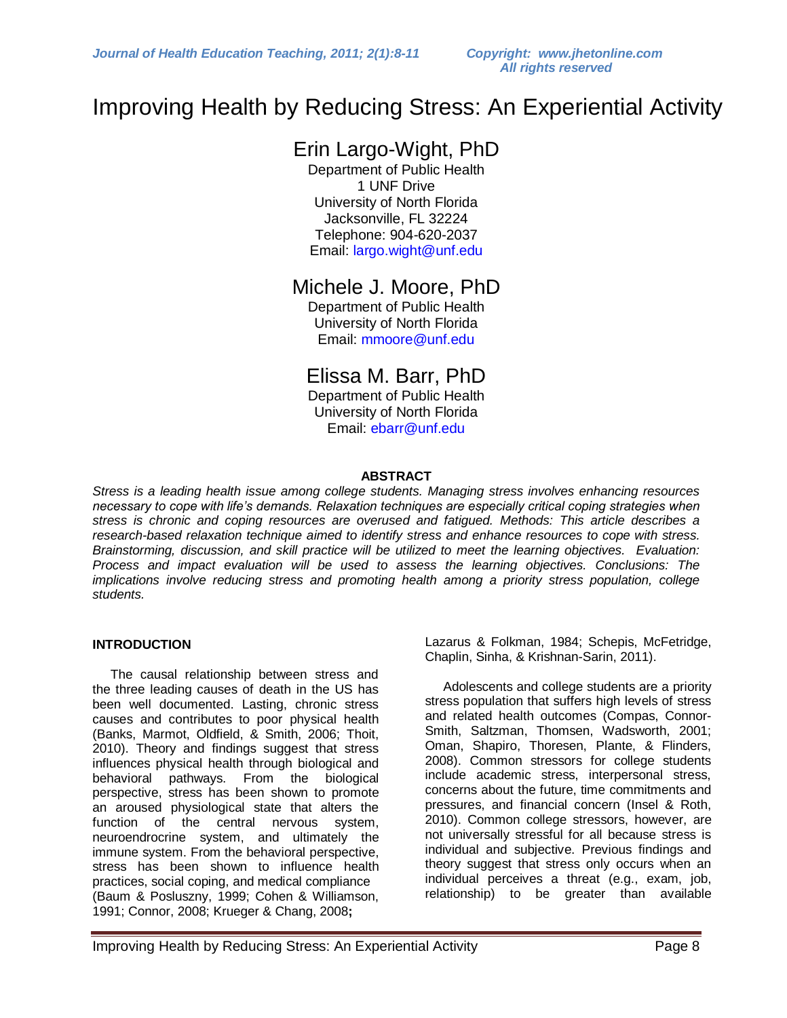### Improving Health by Reducing Stress: An Experiential Activity

### Erin Largo-Wight, PhD

Department of Public Health 1 UNF Drive University of North Florida Jacksonville, FL 32224 Telephone: 904-620-2037 Email: [largo.wight@unf.edu](https://webaccess.unf.edu/owa/redir.aspx?C=15b9fd3a094a4f47aab7894e75f16b78&URL=mailto%3alargo.wight%40unf.edu)

### Michele J. Moore, PhD

Department of Public Health University of North Florida Email: [mmoore@unf.edu](https://webaccess.unf.edu/owa/redir.aspx?C=15b9fd3a094a4f47aab7894e75f16b78&URL=mailto%3ammoore%40unf.edu)

### Elissa M. Barr, PhD

Department of Public Health University of North Florida Email: [ebarr@unf.edu](https://webaccess.unf.edu/owa/redir.aspx?C=15b9fd3a094a4f47aab7894e75f16b78&URL=mailto%3aebarr%40unf.edu)

#### **ABSTRACT**

*Stress is a leading health issue among college students. Managing stress involves enhancing resources necessary to cope with life's demands. Relaxation techniques are especially critical coping strategies when stress is chronic and coping resources are overused and fatigued. Methods: This article describes a research-based relaxation technique aimed to identify stress and enhance resources to cope with stress. Brainstorming, discussion, and skill practice will be utilized to meet the learning objectives. Evaluation: Process and impact evaluation will be used to assess the learning objectives. Conclusions: The implications involve reducing stress and promoting health among a priority stress population, college students.*

#### **INTRODUCTION**

The causal relationship between stress and the three leading causes of death in the US has been well documented. Lasting, chronic stress causes and contributes to poor physical health (Banks, Marmot, Oldfield, & Smith, 2006; Thoit, 2010). Theory and findings suggest that stress influences physical health through biological and behavioral pathways. From the biological perspective, stress has been shown to promote an aroused physiological state that alters the function of the central nervous system, neuroendrocrine system, and ultimately the immune system. From the behavioral perspective, stress has been shown to influence health practices, social coping, and medical compliance (Baum & Posluszny, 1999; Cohen & Williamson, 1991; Connor, 2008; Krueger & Chang, 2008**;** 

Lazarus & Folkman, 1984; Schepis, McFetridge, Chaplin, Sinha, & Krishnan-Sarin, 2011).

 Adolescents and college students are a priority stress population that suffers high levels of stress and related health outcomes (Compas, Connor-Smith, Saltzman, Thomsen, Wadsworth, 2001; Oman, Shapiro, Thoresen, Plante, & Flinders, 2008). Common stressors for college students include academic stress, interpersonal stress, concerns about the future, time commitments and pressures, and financial concern (Insel & Roth, 2010). Common college stressors, however, are not universally stressful for all because stress is individual and subjective. Previous findings and theory suggest that stress only occurs when an individual perceives a threat (e.g., exam, job, relationship) to be greater than available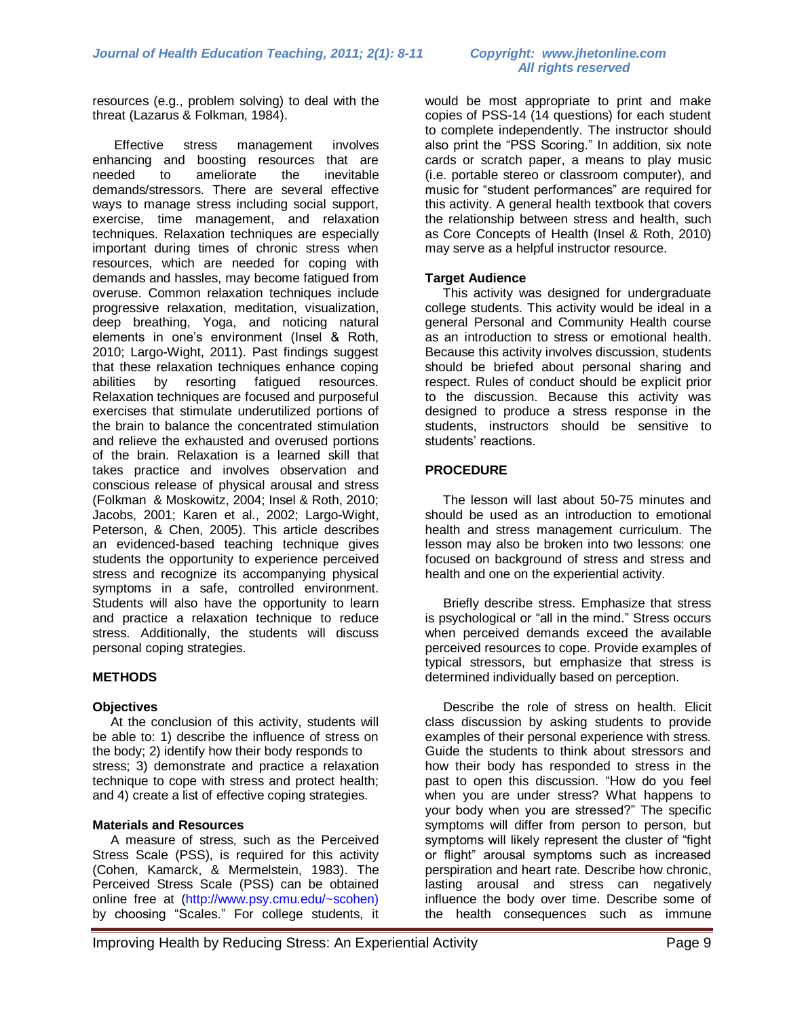# *All rights reserved*

resources (e.g., problem solving) to deal with the threat (Lazarus & Folkman, 1984).

 Effective stress management involves enhancing and boosting resources that are needed to ameliorate the inevitable demands/stressors. There are several effective ways to manage stress including social support, exercise, time management, and relaxation techniques. Relaxation techniques are especially important during times of chronic stress when resources, which are needed for coping with demands and hassles, may become fatigued from overuse. Common relaxation techniques include progressive relaxation, meditation, visualization, deep breathing, Yoga, and noticing natural elements in one's environment (Insel & Roth, 2010; Largo-Wight, 2011). Past findings suggest that these relaxation techniques enhance coping abilities by resorting fatigued resources. Relaxation techniques are focused and purposeful exercises that stimulate underutilized portions of the brain to balance the concentrated stimulation and relieve the exhausted and overused portions of the brain. Relaxation is a learned skill that takes practice and involves observation and conscious release of physical arousal and stress (Folkman & Moskowitz, 2004; Insel & Roth, 2010; Jacobs, 2001; Karen et al., 2002; Largo-Wight, Peterson, & Chen, 2005). This article describes an evidenced-based teaching technique gives students the opportunity to experience perceived stress and recognize its accompanying physical symptoms in a safe, controlled environment. Students will also have the opportunity to learn and practice a relaxation technique to reduce stress. Additionally, the students will discuss personal coping strategies.

#### **METHODS**

#### **Objectives**

At the conclusion of this activity, students will be able to: 1) describe the influence of stress on the body; 2) identify how their body responds to stress; 3) demonstrate and practice a relaxation technique to cope with stress and protect health; and 4) create a list of effective coping strategies.

#### **Materials and Resources**

A measure of stress, such as the Perceived Stress Scale (PSS), is required for this activity (Cohen, Kamarck, & Mermelstein, 1983). The Perceived Stress Scale (PSS) can be obtained online free at [\(http://www.psy.cmu.edu/~scohen\)](http://www.psy.cmu.edu/~scohen)) by choosing "Scales." For college students, it

would be most appropriate to print and make copies of PSS-14 (14 questions) for each student to complete independently. The instructor should also print the "PSS Scoring." In addition, six note cards or scratch paper, a means to play music (i.e. portable stereo or classroom computer), and music for "student performances" are required for this activity. A general health textbook that covers the relationship between stress and health, such as Core Concepts of Health (Insel & Roth, 2010) may serve as a helpful instructor resource.

#### **Target Audience**

This activity was designed for undergraduate college students. This activity would be ideal in a general Personal and Community Health course as an introduction to stress or emotional health. Because this activity involves discussion, students should be briefed about personal sharing and respect. Rules of conduct should be explicit prior to the discussion. Because this activity was designed to produce a stress response in the students, instructors should be sensitive to students' reactions.

#### **PROCEDURE**

The lesson will last about 50-75 minutes and should be used as an introduction to emotional health and stress management curriculum. The lesson may also be broken into two lessons: one focused on background of stress and stress and health and one on the experiential activity.

Briefly describe stress. Emphasize that stress is psychological or "all in the mind." Stress occurs when perceived demands exceed the available perceived resources to cope. Provide examples of typical stressors, but emphasize that stress is determined individually based on perception.

 Describe the role of stress on health. Elicit class discussion by asking students to provide examples of their personal experience with stress. Guide the students to think about stressors and how their body has responded to stress in the past to open this discussion. "How do you feel when you are under stress? What happens to your body when you are stressed?" The specific symptoms will differ from person to person, but symptoms will likely represent the cluster of "fight or flight" arousal symptoms such as increased perspiration and heart rate. Describe how chronic, lasting arousal and stress can negatively influence the body over time. Describe some of the health consequences such as immune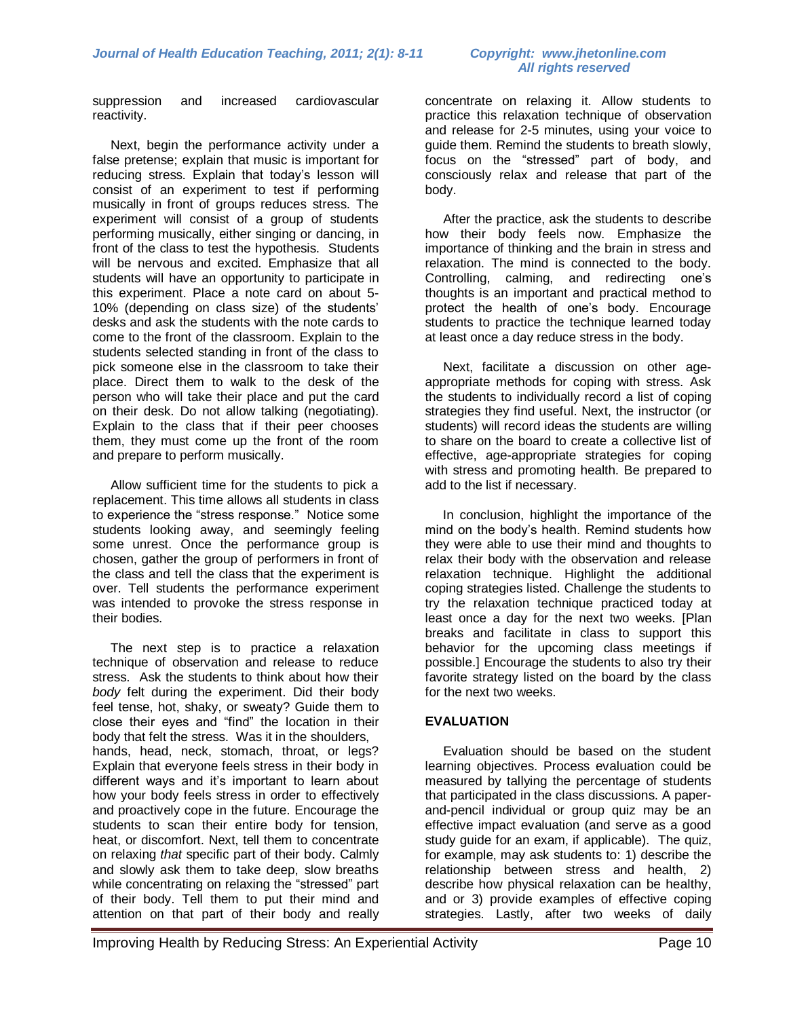# *All rights reserved*

suppression and increased cardiovascular reactivity.

Next, begin the performance activity under a false pretense; explain that music is important for reducing stress. Explain that today's lesson will consist of an experiment to test if performing musically in front of groups reduces stress. The experiment will consist of a group of students performing musically, either singing or dancing, in front of the class to test the hypothesis. Students will be nervous and excited. Emphasize that all students will have an opportunity to participate in this experiment. Place a note card on about 5- 10% (depending on class size) of the students' desks and ask the students with the note cards to come to the front of the classroom. Explain to the students selected standing in front of the class to pick someone else in the classroom to take their place. Direct them to walk to the desk of the person who will take their place and put the card on their desk. Do not allow talking (negotiating). Explain to the class that if their peer chooses them, they must come up the front of the room and prepare to perform musically.

Allow sufficient time for the students to pick a replacement. This time allows all students in class to experience the "stress response." Notice some students looking away, and seemingly feeling some unrest. Once the performance group is chosen, gather the group of performers in front of the class and tell the class that the experiment is over. Tell students the performance experiment was intended to provoke the stress response in their bodies.

The next step is to practice a relaxation technique of observation and release to reduce stress. Ask the students to think about how their *body* felt during the experiment. Did their body feel tense, hot, shaky, or sweaty? Guide them to close their eyes and "find" the location in their body that felt the stress. Was it in the shoulders, hands, head, neck, stomach, throat, or legs? Explain that everyone feels stress in their body in different ways and it's important to learn about how your body feels stress in order to effectively and proactively cope in the future. Encourage the students to scan their entire body for tension, heat, or discomfort. Next, tell them to concentrate on relaxing *that* specific part of their body. Calmly and slowly ask them to take deep, slow breaths while concentrating on relaxing the "stressed" part of their body. Tell them to put their mind and attention on that part of their body and really concentrate on relaxing it. Allow students to practice this relaxation technique of observation and release for 2-5 minutes, using your voice to guide them. Remind the students to breath slowly, focus on the "stressed" part of body, and consciously relax and release that part of the body.

After the practice, ask the students to describe how their body feels now. Emphasize the importance of thinking and the brain in stress and relaxation. The mind is connected to the body. Controlling, calming, and redirecting one's thoughts is an important and practical method to protect the health of one's body. Encourage students to practice the technique learned today at least once a day reduce stress in the body.

Next, facilitate a discussion on other ageappropriate methods for coping with stress. Ask the students to individually record a list of coping strategies they find useful. Next, the instructor (or students) will record ideas the students are willing to share on the board to create a collective list of effective, age-appropriate strategies for coping with stress and promoting health. Be prepared to add to the list if necessary.

In conclusion, highlight the importance of the mind on the body's health. Remind students how they were able to use their mind and thoughts to relax their body with the observation and release relaxation technique. Highlight the additional coping strategies listed. Challenge the students to try the relaxation technique practiced today at least once a day for the next two weeks. [Plan breaks and facilitate in class to support this behavior for the upcoming class meetings if possible.] Encourage the students to also try their favorite strategy listed on the board by the class for the next two weeks.

#### **EVALUATION**

Evaluation should be based on the student learning objectives. Process evaluation could be measured by tallying the percentage of students that participated in the class discussions. A paperand-pencil individual or group quiz may be an effective impact evaluation (and serve as a good study guide for an exam, if applicable). The quiz, for example, may ask students to: 1) describe the relationship between stress and health, 2) describe how physical relaxation can be healthy, and or 3) provide examples of effective coping strategies. Lastly, after two weeks of daily